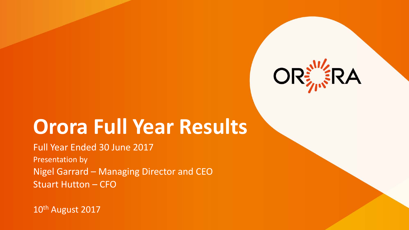

## **Orora Full Year Results**

Full Year Ended 30 June 2017 Presentation by Nigel Garrard – Managing Director and CEO Stuart Hutton – CFO

10<sup>th</sup> August 2017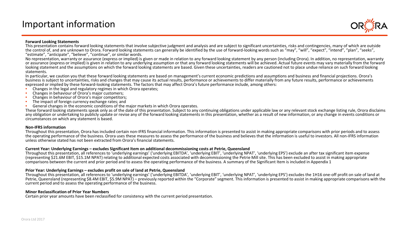## Important information



#### **Forward Looking Statements**

This presentation contains forward looking statements that involve subjective judgment and analysis and are subject to significant uncertainties, risks and contingencies, many of which are outside the control of, and are unknown to Orora. Forward looking statements can generally be identified by the use of forward-looking words such as "may", "will", "expect", "intend", "plan", "seeks",<br>"estimate", "anticipate", "be

No representation, warranty or assurance (express or implied) is given or made in relation to any forward looking statement by any person (including Orora). In addition, no representation, warranty or assurance (express or implied) is given in relation to any underlying assumption or that any forward looking statements will be achieved. Actual future events may vary materially from the forward looking statement and the assumptions on which the forward looking statements are based. Given these uncertainties, readers are cautioned not to place undue reliance on such forward looking statements.

In particular, we caution you that these forward looking statements are based on management's current economic predictions and assumptions and business and financial projections. Orora's business is subject to uncertainties, risks and changes that may cause its actual results, performance or achievements to differ materially from any future results, performance or achievements expressed or implied by these forward-looking statements. The factors that may affect Orora's future performance include, among others:<br>
• Changes in the legal and regulatory regimes in which Orora operates;<br>
• Changes in

- 
- 
- 
- 
- 

These forward looking statements speak only as of the date of this presentation. Subject to any continuing obligations under applicable law or any relevant stock exchange listing rule, Orora disclaims any obligation or undertaking to publicly update or revise any of the forward looking statements in this presentation, whether as a result of new information, or any change in events conditions or circumstances on which any statement is based.

#### **Non-IFRS information**

Throughout this presentation, Orora has included certain non-IFRS financial information. This information is presented to assist in making appropriate comparisons with prior periods and to assess the operating performance of the business. Orora uses these measures to assess the performance of the business and believes that the information is useful to investors. All non-IFRS information unless otherwise stated has not been extracted from Orora's financial statements.

#### **Current Year: Underlying Earnings – excludes Significant Item on additional decommissioning costs at Petrie, Queensland**

Throughout this presentation, all references to 'underlying earnings' ('underlying EBITDA', 'underlying EBIT', 'underlying NPAT', 'underlying EPS') exclude an after tax significant item expense (representing \$21.6M EBIT, \$15.1M NPAT) relating to additional expected costs associated with decommissioning the Petrie Mill site. This has been excluded to assist in making appropriate comparisons between the current and prior period and to assess the operating performance of the business. A summary of the Significant Item is included in Appendix 1

#### **Prior Year: Underlying Earnings – excludes profit on sale of land at Petrie, Queensland**

Throughout this presentation, all references to 'underlying earnings' ('underlying EBITDA', 'underlying EBIT', 'underlying NPAT', 'underlying EPS') excludes the 1H16 one-off profit on sale of land at Petrie, Queensland (representing \$8.4M EBIT, \$5.9M NPAT) – previously reported within the "Corporate" segment. This information is presented to assist in making appropriate comparisons with the current period and to assess the operating performance of the business.

#### **Minor Reclassification of Prior Year Numbers**

Certain prior year amounts have been reclassified for consistency with the current period presentation.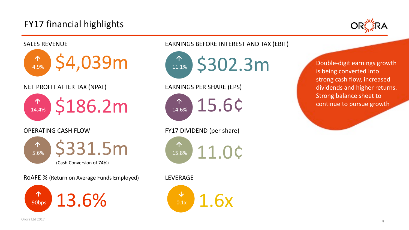## FY17 financial highlights





strong cash flow, increased dividends and higher returns.<br>Streas belanse sheet to dividends continue to pursue growth Double-digit earnings growth is being converted into Strong balance sheet to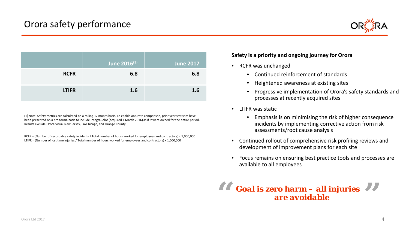

|              | <b>June 2016</b> (1) | <b>June 2017</b> |
|--------------|----------------------|------------------|
| <b>RCFR</b>  | 6.8                  | 6.8              |
| <b>LTIFR</b> | 1.6                  | 1.6              |

(1) Note: Safety metrics are calculated on a rolling 12 month basis. To enable accurate comparison, prior year statistics have been presented on a pro forma basis to include IntegraColor (acquired 1 March 2016) as if it were owned for the entire period. Results exclude Orora Visual New Jersey, LA/Chicago, and Orange County.

RCFR = (Number of recordable safety incidents / Total number of hours worked for employees and contractors) x 1,000,000 LTIFR = (Number of lost time injuries / Total number of hours worked for employees and contractors) x 1,000,000

#### **Safety is a priority and ongoing journey for Orora**

- RCFR was unchanged
	- Continued reinforcement of standards
	- Heightened awareness at existing sites
	- Progressive implementation of Orora's safety standards and processes at recently acquired sites
- LTIFR was static
	- Emphasis is on minimising the risk of higher consequence incidents by implementing corrective action from risk assessments/root cause analysis
- Continued rollout of comprehensive risk profiling reviews and development of improvement plans for each site
- Focus remains on ensuring best practice tools and processes are available to all employees

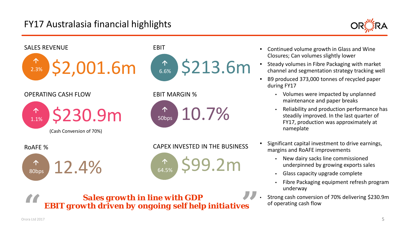## FY17 Australasia financial highlights





- Continued volume growth in Glass and Wine Closures; Can volumes slightly lower
- Steady volumes in Fibre Packaging with market channel and segmentation strategy tracking well
- B9 produced 373,000 tonnes of recycled paper during FY17
	- Volumes were impacted by unplanned maintenance and paper breaks
	- Reliability and production performance has steadily improved. In the last quarter of FY17, production was approximately at nameplate
- Significant capital investment to drive earnings, margins and RoAFE improvements
	- New dairy sacks line commissioned underpinned by growing exports sales
	- Glass capacity upgrade complete
	- Fibre Packaging equipment refresh program underway
- Strong cash conversion of 70% delivering \$230.9m of operating cash flow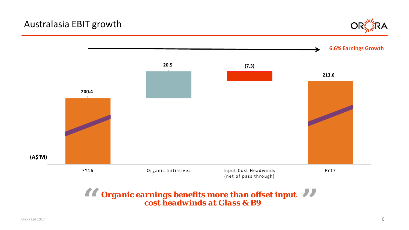## Australasia EBIT growth





*Organic earnings benefits more than offset input*  **66** Organic earnings benefits more than offset input 99<br>
cost headwinds at Glass & B9 *cost headwinds at Glass & B9*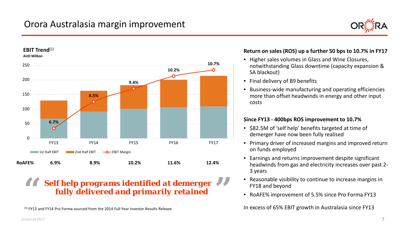## Orora Australasia margin improvement





#### *Self help programs identified at demerger*  **"** *fully delivered and primarily retained*  **"**

(1) FY13 and FY14 Pro Forma sourced from the 2014 Full Year Investor Results Release

#### **Return on sales (ROS) up a further 50 bps to 10.7% in FY17**

- Higher sales volumes in Glass and Wine Closures, notwithstanding Glass downtime (capacity expansion & SA blackout)
- Final delivery of B9 benefits
- Business-wide manufacturing and operating efficiencies more than offset headwinds in energy and other input costs

#### **Since FY13 - 400bps ROS improvement to 10.7%**

- \$82.5M of 'self help' benefits targeted at time of demerger have now been fully realised
- Primary driver of increased margins and improved return on funds employed
- Earnings and returns improvement despite significant headwinds from gas and electricity increases over past 2- 3 years
- Reasonable visibility to continue to increase margins in FY18 and beyond
- RoAFE% improvement of 5.5% since Pro Forma FY13

In excess of 65% EBIT growth in Australasia since FY13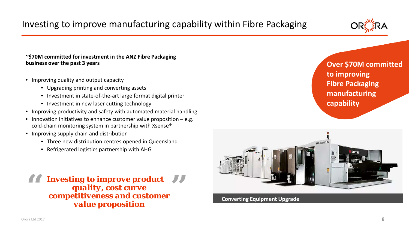

**~\$70M committed for investment in the ANZ Fibre Packaging business over the past 3 years**

- Improving quality and output capacity
	- Upgrading printing and converting assets
	- Investment in state-of-the-art large format digital printer
	- Investment in new laser cutting technology
- Improving productivity and safety with automated material handling
- Innovation initiatives to enhance customer value proposition  $-e.g.$ cold-chain monitoring system in partnership with Xsense®
- Improving supply chain and distribution
	- Three new distribution centres opened in Queensland
	- Refrigerated logistics partnership with AHG

**16 Investing to improve product**<br> **1999**<br> **1999**<br> **1999**<br> **1999**<br> **1999**<br> **1999**<br> **1999**<br> **1999**<br> **1999** *quality, cost curve competitiveness and customer value proposition*

**Over \$70M committed to improving Fibre Packaging manufacturing capability**



**Converting Equipment Upgrade**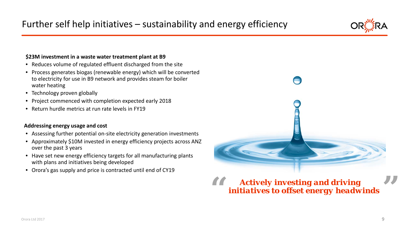#### **\$23M investment in a waste water treatment plant at B9**

- Reduces volume of regulated effluent discharged from the site
- Process generates biogas (renewable energy) which will be converted to electricity for use in B9 network and provides steam for boiler water heating
- Technology proven globally
- Project commenced with completion expected early 2018
- Return hurdle metrics at run rate levels in FY19

#### **Addressing energy usage and cost**

- Assessing further potential on-site electricity generation investments
- Approximately \$10M invested in energy efficiency projects across ANZ over the past 3 years
- Have set new energy efficiency targets for all manufacturing plants with plans and initiatives being developed
- Orora's gas supply and price is contracted until end of CY19

*Actively investing and driving*  **"** *initiatives to offset energy headwinds* **"**



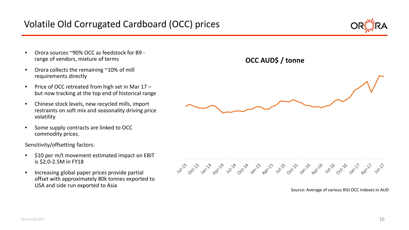- Orora sources ~90% OCC as feedstock for B9 range of vendors, mixture of terms
- Orora collects the remaining ~10% of mill requirements directly
- Price of OCC retreated from high set in Mar 17 but now tracking at the top end of historical range
- Chinese stock levels, new recycled mills, import restraints on soft mix and seasonality driving price volatility
- Some supply contracts are linked to OCC commodity prices.

Sensitivity/offsetting factors:

- \$10 per m/t movement estimated impact on EBIT is \$2.0-2.5M in FY18
- Increasing global paper prices provide partial offset with approximately 80k tonnes exported to USA and side run exported to Asia





Source: Average of various RISI OCC indexes in AUD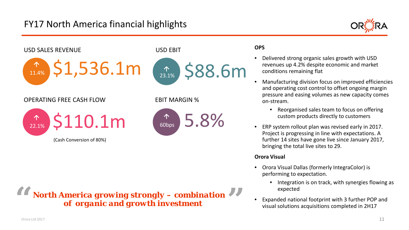## FY17 North America financial highlights





*North America growing strongly – combination*  **66** North America growing strongly – combination  $\overrightarrow{9}$ *of organic and growth investment*

#### **OPS**

- Delivered strong organic sales growth with USD revenues up 4.2% despite economic and market conditions remaining flat
- Manufacturing division focus on improved efficiencies and operating cost control to offset ongoing margin pressure and easing volumes as new capacity comes on-stream.
	- Reorganised sales team to focus on offering custom products directly to customers
- ERP system rollout plan was revised early in 2017. Project is progressing in line with expectations. A further 14 sites have gone live since January 2017, bringing the total live sites to 29.

#### **Orora Visual**

- Orora Visual Dallas (formerly IntegraColor) is performing to expectation.
	- Integration is on track, with synergies flowing as expected
- Expanded national footprint with 3 further POP and visual solutions acquisitions completed in 2H17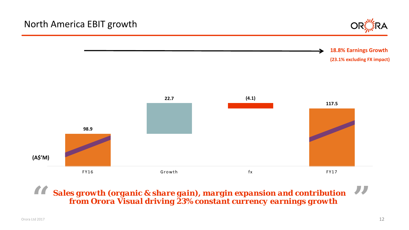

**18.8% Earnings Growth (23.1% excluding FX impact)**



*Sales growth (organic & share gain), margin expansion and contribution*  **"** *from Orora Visual driving 23% constant currency earnings growth* **"**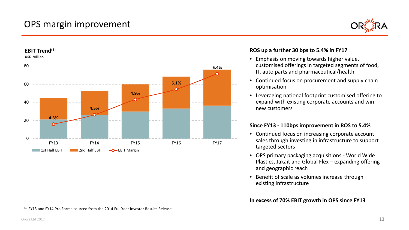## OPS margin improvement



#### **USD Million** 80 **5.4%** c **5.1%** 60  $\bullet$ **4.9%**  $\bullet$ 40 **4.5% 4.3%** 20  $\Omega$ FY13 FY14 FY15 FY16 FY17 **1st Half EBIT EXIMPLE 2nd Half EBIT**  $\rightarrow Q$  EBIT Margin

#### **ROS up a further 30 bps to 5.4% in FY17**

- Emphasis on moving towards higher value, customised offerings in targeted segments of food, IT, auto parts and pharmaceutical/health
- Continued focus on procurement and supply chain optimisation
- Leveraging national footprint customised offering to expand with existing corporate accounts and win new customers

#### **Since FY13 - 110bps improvement in ROS to 5.4%**

- Continued focus on increasing corporate account sales through investing in infrastructure to support targeted sectors
- OPS primary packaging acquisitions World Wide Plastics, Jakait and Global Flex – expanding offering and geographic reach
- Benefit of scale as volumes increase through existing infrastructure

#### **In excess of 70% EBIT growth in OPS since FY13**

 $(1)$  FY13 and FY14 Pro Forma sourced from the 2014 Full Year Investor Results Release

**EBIT Trend**(1)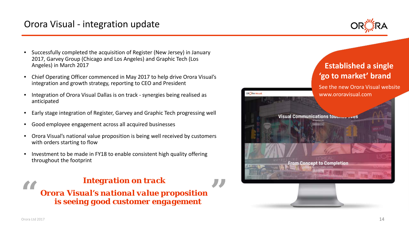## Orora Visual - integration update



- Successfully completed the acquisition of Register (New Jersey) in January 2017, Garvey Group (Chicago and Los Angeles) and Graphic Tech (Los Angeles) in March 2017
- Chief Operating Officer commenced in May 2017 to help drive Orora Visual's integration and growth strategy, reporting to CEO and President
- Integration of Orora Visual Dallas is on track synergies being realised as anticipated
- Early stage integration of Register, Garvey and Graphic Tech progressing well
- Good employee engagement across all acquired businesses
- Orora Visual's national value proposition is being well received by customers with orders starting to flow

**"**

• Investment to be made in FY18 to enable consistent high quality offering throughout the footprint



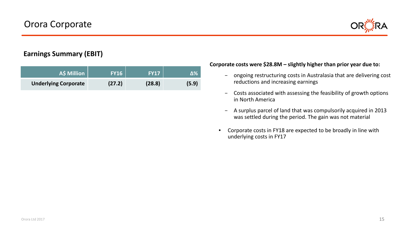

#### **Earnings Summary (EBIT)**

| <b>A\$ Million</b>          | <b>FY16</b> | <b>FY17</b> | Δ%    |
|-----------------------------|-------------|-------------|-------|
| <b>Underlying Corporate</b> | (27.2)      | (28.8)      | (5.9) |

#### **Corporate costs were \$28.8M – slightly higher than prior year due to:**

- ongoing restructuring costs in Australasia that are delivering cost reductions and increasing earnings
- Costs associated with assessing the feasibility of growth options in North America
- A surplus parcel of land that was compulsorily acquired in 2013 was settled during the period. The gain was not material
- Corporate costs in FY18 are expected to be broadly in line with underlying costs in FY17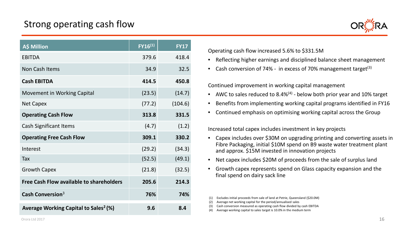## Strong operating cash flow

| <b>A\$ Million</b>                                | $FY16^{(1)}$ | <b>FY17</b> |
|---------------------------------------------------|--------------|-------------|
| <b>EBITDA</b>                                     | 379.6        | 418.4       |
| Non Cash Items                                    | 34.9         | 32.5        |
| <b>Cash EBITDA</b>                                | 414.5        | 450.8       |
| <b>Movement in Working Capital</b>                | (23.5)       | (14.7)      |
| <b>Net Capex</b>                                  | (77.2)       | (104.6)     |
| <b>Operating Cash Flow</b>                        | 313.8        | 331.5       |
| <b>Cash Significant Items</b>                     | (4.7)        | (1.2)       |
| <b>Operating Free Cash Flow</b>                   | 309.1        | 330.2       |
| Interest                                          | (29.2)       | (34.3)      |
| Tax                                               | (52.5)       | (49.1)      |
| <b>Growth Capex</b>                               | (21.8)       | (32.5)      |
| <b>Free Cash Flow available to shareholders</b>   | 205.6        | 214.3       |
| Cash Conversion $3$                               | 76%          | 74%         |
| Average Working Capital to Sales <sup>2</sup> (%) | 9.6          | 8.4         |



Operating cash flow increased 5.6% to \$331.5M

- Reflecting higher earnings and disciplined balance sheet management
- Cash conversion of 74% in excess of 70% management target<sup>(3)</sup>

Continued improvement in working capital management

- AWC to sales reduced to 8.4% $(4)$  below both prior year and 10% target
- Benefits from implementing working capital programs identified in FY16
- Continued emphasis on optimising working capital across the Group

Increased total capex includes investment in key projects

- Capex includes over \$30M on upgrading printing and converting assets in Fibre Packaging, initial \$10M spend on B9 waste water treatment plant and approx. \$15M invested in innovation projects
- Net capex includes \$20M of proceeds from the sale of surplus land
- Growth capex represents spend on Glass capacity expansion and the final spend on dairy sack line

(3) Cash conversion measured as operating cash flow divided by cash EBITDA **Average Working Capital to Sales** (4) Average working capital to sales target is 10.0% in the medium term

<sup>(1)</sup> Excludes initial proceeds from sale of land at Petrie, Queensland (\$20.0M)

<sup>(2)</sup> Average net working capital for the period/annualised sales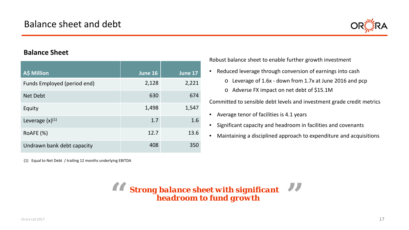

#### **Balance Sheet**

| A\$ Million                 | June 16 | June 17 |
|-----------------------------|---------|---------|
| Funds Employed (period end) | 2,128   | 2,221   |
| <b>Net Debt</b>             | 630     | 674     |
| Equity                      | 1,498   | 1,547   |
| Leverage $(x)^{(1)}$        | 1.7     | 1.6     |
| RoAFE (%)                   | 12.7    | 13.6    |
| Undrawn bank debt capacity  | 408     | 350     |

(1) Equal to Net Debt / trailing 12 months underlying EBITDA

Robust balance sheet to enable further growth investment

- Reduced leverage through conversion of earnings into cash
	- o Leverage of 1.6x down from 1.7x at June 2016 and pcp
	- o Adverse FX impact on net debt of \$15.1M

Committed to sensible debt levels and investment grade credit metrics

- Average tenor of facilities is 4.1 years
- Significant capacity and headroom in facilities and covenants
- Maintaining a disciplined approach to expenditure and acquisitions

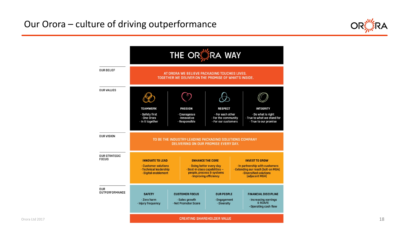

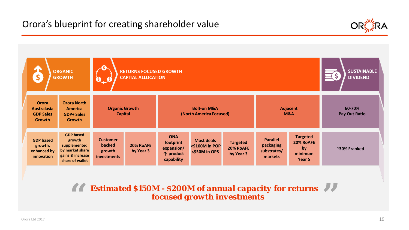

| \$                                                               | <b>ORGANIC</b><br><b>GROWTH</b>                                                                      | G<br>Q_G                                           | <b>RETURNS FOCUSED GROWTH</b><br><b>CAPITAL ALLOCATION</b> |                                                                  |                                                      |                                           |                                                        |                                                         | <b>SUSTAINABLE</b><br><b>DIVIDEND</b> |  |
|------------------------------------------------------------------|------------------------------------------------------------------------------------------------------|----------------------------------------------------|------------------------------------------------------------|------------------------------------------------------------------|------------------------------------------------------|-------------------------------------------|--------------------------------------------------------|---------------------------------------------------------|---------------------------------------|--|
| <b>Orora</b><br><b>Australasia</b><br><b>GDP Sales</b><br>Growth | <b>Orora North</b><br><b>America</b><br><b>GDP+ Sales</b><br><b>Growth</b>                           |                                                    | <b>Organic Growth</b><br><b>Capital</b>                    |                                                                  | <b>Bolt-on M&amp;A</b><br>(North America Focused)    |                                           |                                                        | <b>Adjacent</b><br>M&A                                  | 60-70%<br><b>Pay Out Ratio</b>        |  |
| <b>GDP</b> based<br>growth,<br>enhanced by<br>innovation         | <b>GDP</b> based<br>growth<br>supplemented<br>by market share<br>gains & increase<br>share of wallet | <b>Customer</b><br>backed<br>growth<br>investments | 20% RoAFE<br>by Year 3                                     | <b>ONA</b><br>footprint<br>expansion/<br>个 product<br>capability | <b>Most deals</b><br><\$100M in POP<br><\$50M in OPS | <b>Targeted</b><br>20% RoAFE<br>by Year 3 | <b>Parallel</b><br>packaging<br>substrates/<br>markets | <b>Targeted</b><br>20% RoAFE<br>by<br>minimum<br>Year 5 | ~30% Franked                          |  |

**Estimated \$150M - \$200M of annual capacity for returns focused growth investments** *focused growth investments* **"**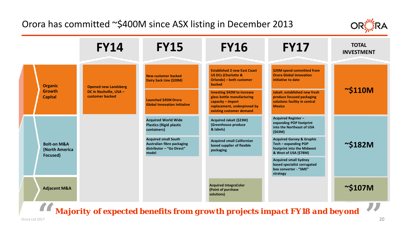## Orora has committed ~\$400M since ASX listing in December 2013



|  |                                                      | <b>FY14</b>                               | <b>FY15</b>                                                                                     | <b>FY16</b>                                                                                                                                      | <b>FY17</b>                                                                                                         | <b>TOTAL</b><br><b>INVESTMENT</b> |
|--|------------------------------------------------------|-------------------------------------------|-------------------------------------------------------------------------------------------------|--------------------------------------------------------------------------------------------------------------------------------------------------|---------------------------------------------------------------------------------------------------------------------|-----------------------------------|
|  | <b>Organic</b>                                       | <b>Opened new Landsberg</b>               | New customer backed<br>Dairy Sack Line (\$20M)                                                  | <b>Established 2 new East Coast</b><br><b>US DCs (Charlotte &amp;</b><br>Orlando) - both customer<br>backed                                      | \$29M spend committed from<br><b>Orora Global Innovation</b><br>initiative to date                                  |                                   |
|  | <b>Growth</b><br><b>Capital</b>                      | DC in Nashville, USA -<br>customer backed | <b>Launched \$45M Orora</b><br><b>Global Innovation Initiative</b>                              | <b>Investing \$42M to increase</b><br>glass bottle manufacturing<br>capacity - import<br>replacement, underpinned by<br>existing customer demand | Jakait: established new fresh<br>produce focused packaging<br>solutions facility in central<br><b>Mexico</b>        | $\sim$ \$110M                     |
|  |                                                      |                                           | <b>Acquired World Wide</b><br><b>Plastics (Rigid plastic</b><br>containers)                     | Acquired Jakait (\$23M)<br>(Greenhouse produce<br>& labels)                                                                                      | <b>Acquired Register-</b><br>expanding POP footprint<br>into the Northeast of USA<br>(563M)                         |                                   |
|  | <b>Bolt-on M&amp;A</b><br>(North America<br>Focused) |                                           | <b>Acquired small South</b><br>Australian fibre packaging<br>distributor - "Go Direct"<br>model | <b>Acquired small Californian</b><br>based supplier of flexible<br>packaging                                                                     | <b>Acquired Garvey &amp; Graphic</b><br>Tech - expanding POP<br>footprint into the Midwest<br>& West of USA (\$78M) | $\sim$ \$182M                     |
|  |                                                      |                                           |                                                                                                 |                                                                                                                                                  | <b>Acquired small Sydney</b><br>based specialist corrugated<br>box converter - "SME"<br>strategy                    |                                   |
|  | <b>Adjacent M&amp;A</b>                              |                                           |                                                                                                 | <b>Acquired IntegraColor</b><br>(Point of purchase<br>solutions)                                                                                 |                                                                                                                     | $\sim$ \$107M                     |
|  | $\overline{r}$                                       |                                           |                                                                                                 |                                                                                                                                                  |                                                                                                                     |                                   |

*Majority of expected benefits from growth projects impact FY18 and beyond* **66** Majority of expected benefits from growth projects impact FY18 and beyond  $\frac{99}{2}$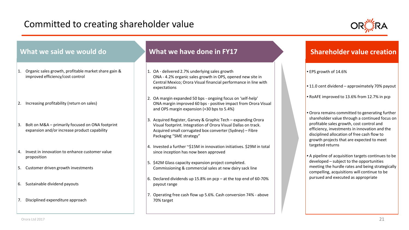## Committed to creating shareholder value



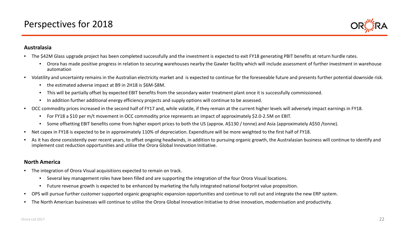

#### **Australasia**

- The \$42M Glass upgrade project has been completed successfully and the investment is expected to exit FY18 generating PBIT benefits at return hurdle rates.
	- Orora has made positive progress in relation to securing warehouses nearby the Gawler facility which will include assessment of further investment in warehouse automation
- Volatility and uncertainty remains in the Australian electricity market and is expected to continue for the foreseeable future and presents further potential downside risk.
	- the estimated adverse impact at B9 in 2H18 is \$6M-\$8M.
	- This will be partially offset by expected EBIT benefits from the secondary water treatment plant once it is successfully commissioned.
	- In addition further additional energy efficiency projects and supply options will continue to be assessed.
- OCC commodity prices increased in the second half of FY17 and, while volatile, if they remain at the current higher levels will adversely impact earnings in FY18.
	- For FY18 a \$10 per m/t movement in OCC commodity price represents an impact of approximately \$2.0-2.5M on EBIT.
	- Some offsetting EBIT benefits come from higher export prices to both the US (approx. A\$130 / tonne) and Asia (approximately A\$50 /tonne).
- Net capex in FY18 is expected to be in approximately 110% of depreciation. Expenditure will be more weighted to the first half of FY18.
- As it has done consistently over recent years, to offset ongoing headwinds, in addition to pursuing organic growth, the Australasian business will continue to identify and implement cost reduction opportunities and utilise the Orora Global Innovation Initiative.

#### **North America**

- The integration of Orora Visual acquisitions expected to remain on track.
	- Several key management roles have been filled and are supporting the integration of the four Orora Visual locations.
	- Future revenue growth is expected to be enhanced by marketing the fully integrated national footprint value proposition.
- OPS will pursue further customer supported organic geographic expansion opportunities and continue to roll out and integrate the new ERP system.
- The North American businesses will continue to utilise the Orora Global Innovation Initiative to drive innovation, modernisation and productivity.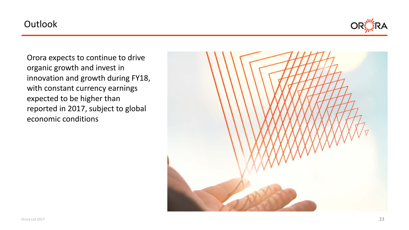## **Outlook**



Orora expects to continue to drive organic growth and invest in innovation and growth during FY18, with constant currency earnings expected to be higher than reported in 2017, subject to global economic conditions

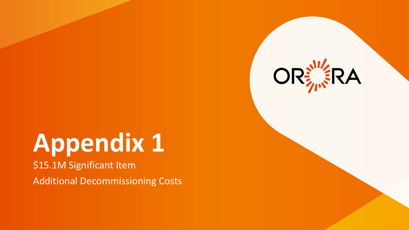# **Appendix 1**

\$15.1M Significant Item

Additional Decommissioning Costs

![](_page_23_Picture_3.jpeg)